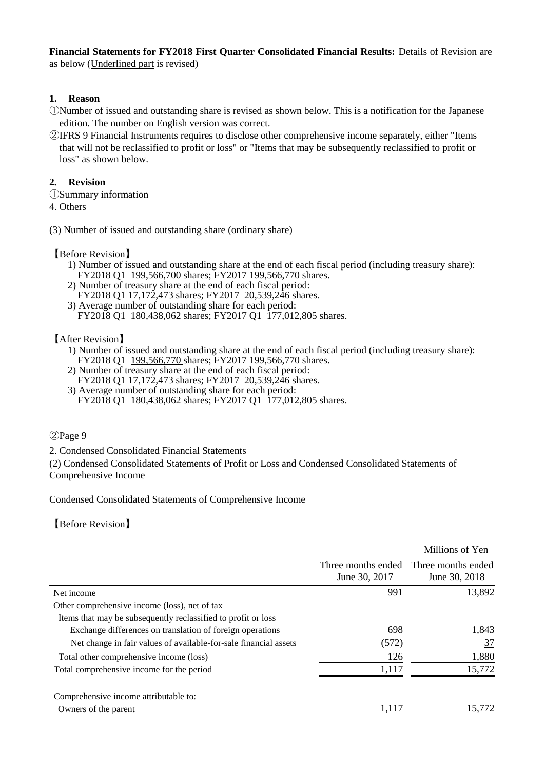**Financial Statements for FY2018 First Quarter Consolidated Financial Results:** Details of Revision are as below (Underlined part is revised)

## **1. Reason**

- ①Number of issued and outstanding share is revised as shown below. This is a notification for the Japanese edition. The number on English version was correct.
- ②IFRS 9 Financial Instruments requires to disclose other comprehensive income separately, either "Items that will not be reclassified to profit or loss" or "Items that may be subsequently reclassified to profit or loss" as shown below.

## **2. Revision**

- ①Summary information
- 4. Others
- (3) Number of issued and outstanding share (ordinary share)

【Before Revision】

- 1) Number of issued and outstanding share at the end of each fiscal period (including treasury share): FY2018 Q1 199,566,700 shares; FY2017 199,566,770 shares.
- 2) Number of treasury share at the end of each fiscal period: FY2018 Q1 17,172,473 shares; FY2017 20,539,246 shares.
- 3) Average number of outstanding share for each period: FY2018 Q1 180,438,062 shares; FY2017 Q1 177,012,805 shares.

【After Revision】

- 1) Number of issued and outstanding share at the end of each fiscal period (including treasury share): FY2018 Q1 199,566,770 shares; FY2017 199,566,770 shares.
- 2) Number of treasury share at the end of each fiscal period: FY2018 Q1 17,172,473 shares; FY2017 20,539,246 shares.
- 3) Average number of outstanding share for each period: FY2018 Q1 180,438,062 shares; FY2017 Q1 177,012,805 shares.

## ②Page 9

2. Condensed Consolidated Financial Statements

(2) Condensed Consolidated Statements of Profit or Loss and Condensed Consolidated Statements of Comprehensive Income

Condensed Consolidated Statements of Comprehensive Income

【Before Revision】

|                                                                  |                                     | Millions of Yen                     |
|------------------------------------------------------------------|-------------------------------------|-------------------------------------|
|                                                                  | Three months ended<br>June 30, 2017 | Three months ended<br>June 30, 2018 |
| Net income                                                       | 991                                 | 13,892                              |
| Other comprehensive income (loss), net of tax                    |                                     |                                     |
| Items that may be subsequently reclassified to profit or loss    |                                     |                                     |
| Exchange differences on translation of foreign operations        | 698                                 | 1,843                               |
| Net change in fair values of available-for-sale financial assets | (572)                               | <u>37</u>                           |
| Total other comprehensive income (loss)                          | 126                                 | 1,880                               |
| Total comprehensive income for the period                        | 1,117                               | 15,772                              |
| Comprehensive income attributable to:                            |                                     |                                     |
| Owners of the parent                                             | 1,117                               | 15.772                              |